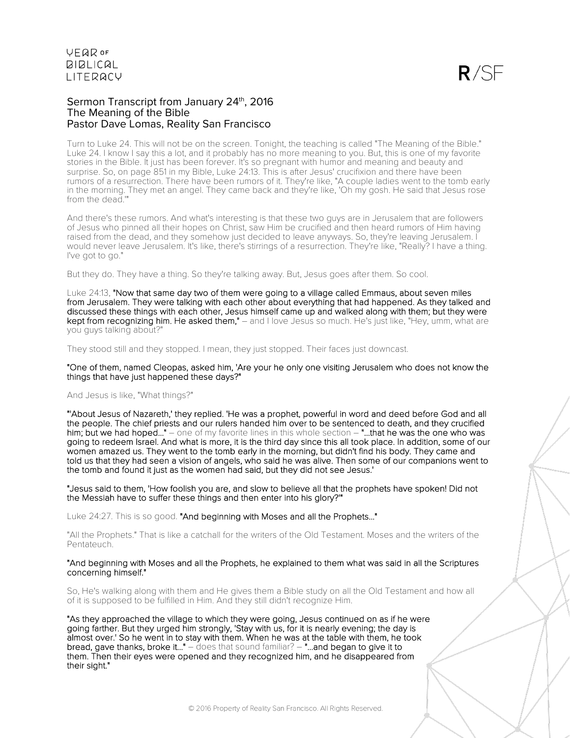### Sermon Transcript from January 24th, 2016 The Meaning of the Bible Pastor Dave Lomas, Reality San Francisco

Turn to Luke 24. This will not be on the screen. Tonight, the teaching is called "The Meaning of the Bible." Luke 24. I know I say this a lot, and it probably has no more meaning to you. But, this is one of my favorite stories in the Bible. It just has been forever. It's so pregnant with humor and meaning and beauty and surprise. So, on page 851 in my Bible, Luke 24:13. This is after Jesus' crucifixion and there have been rumors of a resurrection. There have been rumors of it. They're like, "A couple ladies went to the tomb early in the morning. They met an angel. They came back and they're like, 'Oh my gosh. He said that Jesus rose from the dead.'"

And there's these rumors. And what's interesting is that these two guys are in Jerusalem that are followers of Jesus who pinned all their hopes on Christ, saw Him be crucified and then heard rumors of Him having raised from the dead, and they somehow just decided to leave anyways. So, they're leaving Jerusalem. I would never leave Jerusalem. It's like, there's stirrings of a resurrection. They're like, "Really? I have a thing. I've got to go."

But they do. They have a thing. So they're talking away. But, Jesus goes after them. So cool.

Luke 24:13, "Now that same day two of them were going to a village called Emmaus, about seven miles from Jerusalem. They were talking with each other about everything that had happened. As they talked and discussed these things with each other, Jesus himself came up and walked along with them; but they were kept from recognizing him. He asked them," – and I love Jesus so much. He's just like, "Hey, umm, what are you guys talking about?

They stood still and they stopped. I mean, they just stopped. Their faces just downcast.

"One of them, named Cleopas, asked him, 'Are your he only one visiting Jerusalem who does not know the things that have just happened these days?"

#### And Jesus is like, "What things?"

"'About Jesus of Nazareth,' they replied. 'He was a prophet, powerful in word and deed before God and all the people. The chief priests and our rulers handed him over to be sentenced to death, and they crucified him; but we had hoped..." – one of my favorite lines in this whole section – "...that he was the one who was going to redeem Israel. And what is more, it is the third day since this all took place. In addition, some of our women amazed us. They went to the tomb early in the morning, but didn't find his body. They came and told us that they had seen a vision of angels, who said he was alive. Then some of our companions went to the tomb and found it just as the women had said, but they did not see Jesus.'

"Jesus said to them, 'How foolish you are, and slow to believe all that the prophets have spoken! Did not the Messiah have to suffer these things and then enter into his glory?'"

Luke 24:27. This is so good. "And beginning with Moses and all the Prophets..."

"All the Prophets." That is like a catchall for the writers of the Old Testament. Moses and the writers of the Pentateuch.

#### "And beginning with Moses and all the Prophets, he explained to them what was said in all the Scriptures concerning himself."

So, He's walking along with them and He gives them a Bible study on all the Old Testament and how all of it is supposed to be fulfilled in Him. And they still didn't recognize Him.

"As they approached the village to which they were going, Jesus continued on as if he were going farther. But they urged him strongly, 'Stay with us, for it is nearly evening; the day is almost over.' So he went in to stay with them. When he was at the table with them, he took bread, gave thanks, broke it..."  $-$  does that sound familiar?  $-$  "...and began to give it to them. Then their eyes were opened and they recognized him, and he disappeared from their sight."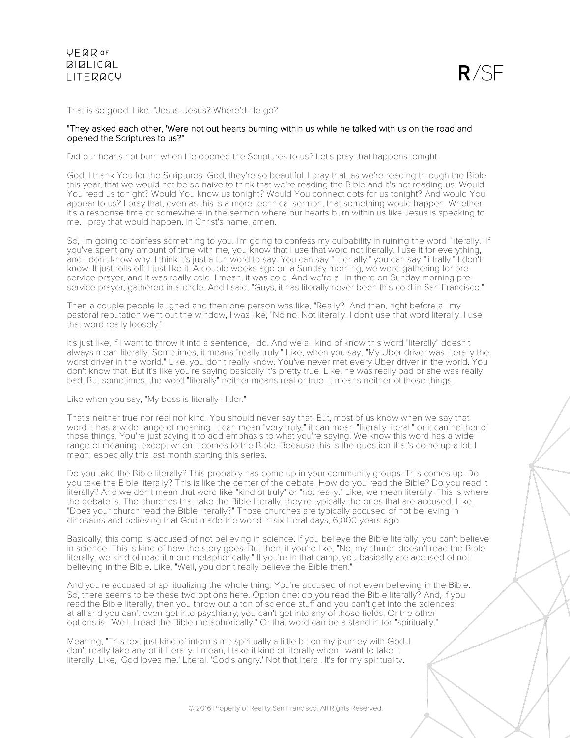



That is so good. Like, "Jesus! Jesus? Where'd He go?"

### "They asked each other, 'Were not out hearts burning within us while he talked with us on the road and opened the Scriptures to us?"

Did our hearts not burn when He opened the Scriptures to us? Let's pray that happens tonight.

God, I thank You for the Scriptures. God, they're so beautiful. I pray that, as we're reading through the Bible this year, that we would not be so naive to think that we're reading the Bible and it's not reading us. Would You read us tonight? Would You know us tonight? Would You connect dots for us tonight? And would You appear to us? I pray that, even as this is a more technical sermon, that something would happen. Whether it's a response time or somewhere in the sermon where our hearts burn within us like Jesus is speaking to me. I pray that would happen. In Christ's name, amen.

So, I'm going to confess something to you. I'm going to confess my culpability in ruining the word "literally." If you've spent any amount of time with me, you know that I use that word not literally. I use it for everything, and I don't know why. I think it's just a fun word to say. You can say "lit-er-ally," you can say "li-trally." I don't know. It just rolls off. I just like it. A couple weeks ago on a Sunday morning, we were gathering for preservice prayer, and it was really cold. I mean, it was cold. And we're all in there on Sunday morning preservice prayer, gathered in a circle. And I said, "Guys, it has literally never been this cold in San Francisco."

Then a couple people laughed and then one person was like, "Really?" And then, right before all my pastoral reputation went out the window, I was like, "No no. Not literally. I don't use that word literally. I use that word really loosely."

It's just like, if I want to throw it into a sentence, I do. And we all kind of know this word "literally" doesn't always mean literally. Sometimes, it means "really truly." Like, when you say, "My Uber driver was literally the worst driver in the world." Like, you don't really know. You've never met every Uber driver in the world. You don't know that. But it's like you're saying basically it's pretty true. Like, he was really bad or she was really bad. But sometimes, the word "literally" neither means real or true. It means neither of those things.

Like when you say, "My boss is literally Hitler."

That's neither true nor real nor kind. You should never say that. But, most of us know when we say that word it has a wide range of meaning. It can mean "very truly," it can mean "literally literal," or it can neither of those things. You're just saying it to add emphasis to what you're saying. We know this word has a wide range of meaning, except when it comes to the Bible. Because this is the question that's come up a lot. I mean, especially this last month starting this series.

Do you take the Bible literally? This probably has come up in your community groups. This comes up. Do you take the Bible literally? This is like the center of the debate. How do you read the Bible? Do you read it literally? And we don't mean that word like "kind of truly" or "not really." Like, we mean literally. This is where the debate is. The churches that take the Bible literally, they're typically the ones that are accused. Like, "Does your church read the Bible literally?" Those churches are typically accused of not believing in dinosaurs and believing that God made the world in six literal days, 6,000 years ago.

Basically, this camp is accused of not believing in science. If you believe the Bible literally, you can't believe in science. This is kind of how the story goes. But then, if you're like, "No, my church doesn't read the Bible literally, we kind of read it more metaphorically." If you're in that camp, you basically are accused of not believing in the Bible. Like, "Well, you don't really believe the Bible then."

And you're accused of spiritualizing the whole thing. You're accused of not even believing in the Bible. So, there seems to be these two options here. Option one: do you read the Bible literally? And, if you read the Bible literally, then you throw out a ton of science stuff and you can't get into the sciences at all and you can't even get into psychiatry, you can't get into any of those fields. Or the other options is, "Well, I read the Bible metaphorically." Or that word can be a stand in for "spiritually."

Meaning, "This text just kind of informs me spiritually a little bit on my journey with God. I don't really take any of it literally. I mean, I take it kind of literally when I want to take it literally. Like, 'God loves me.' Literal. 'God's angry.' Not that literal. It's for my spirituality.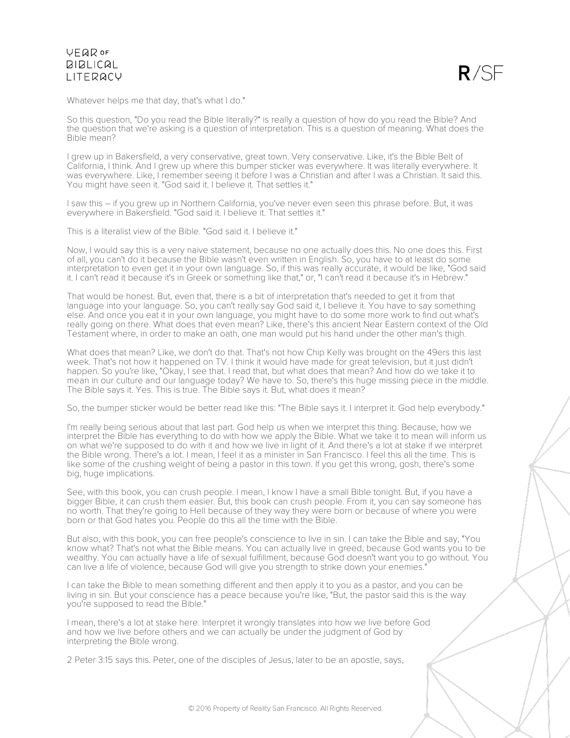

Whatever helps me that day, that's what I do."

So this question, "Do you read the Bible literally?" is really a question of how do you read the Bible? And the question that we're asking is a question of interpretation. This is a question of meaning. What does the Bible mean?

I grew up in Bakersfield, a very conservative, great town. Very conservative. Like, it's the Bible Belt of California, I think. And I grew up where this bumper sticker was everywhere. It was literally everywhere. It was everywhere. Like, I remember seeing it before I was a Christian and after I was a Christian. It said this. You might have seen it. "God said it. I believe it. That settles it."

I saw this – if you grew up in Northern California, you've never even seen this phrase before. But, it was everywhere in Bakersfield. "God said it. I believe it. That settles it."

This is a literalist view of the Bible. "God said it. I believe it."

Now, I would say this is a very naive statement, because no one actually does this. No one does this. First of all, you can't do it because the Bible wasn't even written in English. So, you have to at least do some interpretation to even get it in your own language. So, if this was really accurate, it would be like, "God said it. I can't read it because it's in Greek or something like that," or, "I can't read it because it's in Hebrew."

That would be honest. But, even that, there is a bit of interpretation that's needed to get it from that language into your language. So, you can't really say God said it, I believe it. You have to say something else. And once you eat it in your own language, you might have to do some more work to find out what's really going on there. What does that even mean? Like, there's this ancient Near Eastern context of the Old Testament where, in order to make an oath, one man would put his hand under the other man's thigh.

What does that mean? Like, we don't do that. That's not how Chip Kelly was brought on the 49ers this last week. That's not how it happened on TV. I think it would have made for great television, but it just didn't happen. So you're like, "Okay, I see that. I read that, but what does that mean? And how do we take it to mean in our culture and our language today? We have to. So, there's this huge missing piece in the middle. The Bible says it. Yes. This is true. The Bible says it. But, what does it mean?

So, the bumper sticker would be better read like this: "The Bible says it. I interpret it. God help everybody."

I'm really being serious about that last part. God help us when we interpret this thing. Because, how we interpret the Bible has everything to do with how we apply the Bible. What we take it to mean will inform us on what we're supposed to do with it and how we live in light of it. And there's a lot at stake if we interpret the Bible wrong. There's a lot. I mean, I feel it as a minister in San Francisco. I feel this all the time. This is like some of the crushing weight of being a pastor in this town. If you get this wrong, gosh, there's some big, huge implications.

See, with this book, you can crush people. I mean, I know I have a small Bible tonight. But, if you have a bigger Bible, it can crush them easier. But, this book can crush people. From it, you can say someone has no worth. That they're going to Hell because of they way they were born or because of where you were born or that God hates you. People do this all the time with the Bible.

But also, with this book, you can free people's conscience to live in sin. I can take the Bible and say, "You know what? That's not what the Bible means. You can actually live in greed, because God wants you to be wealthy. You can actually have a life of sexual fulfillment, because God doesn't want you to go without. You can live a life of violence, because God will give you strength to strike down your enemies."

I can take the Bible to mean something different and then apply it to you as a pastor, and you can be living in sin. But your conscience has a peace because you're like, "But, the pastor said this is the way you're supposed to read the Bible."

I mean, there's a lot at stake here. Interpret it wrongly translates into how we live before God and how we live before others and we can actually be under the judgment of God by interpreting the Bible wrong.

2 Peter 3:15 says this. Peter, one of the disciples of Jesus, later to be an apostle, says,

© 2016 Property of Reality San Francisco. All Rights Reserved.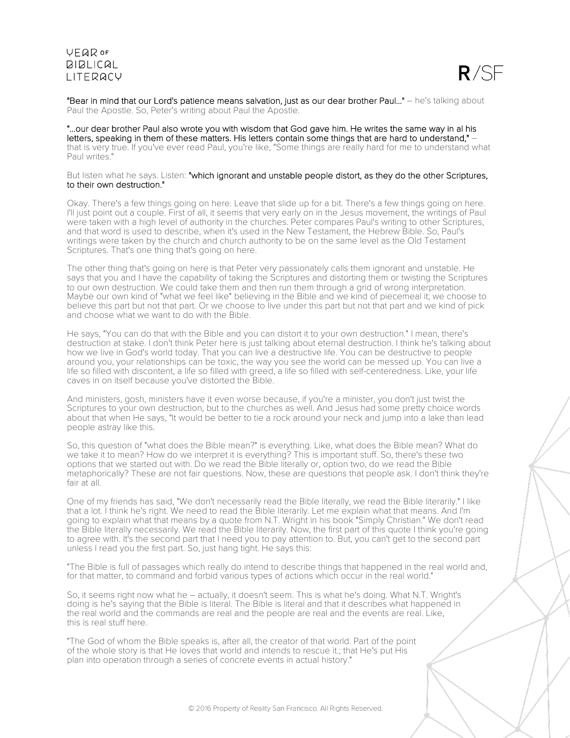

"Bear in mind that our Lord's patience means salvation, just as our dear brother Paul..." – he's talking about Paul the Apostle. So, Peter's writing about Paul the Apostle.

"...our dear brother Paul also wrote you with wisdom that God gave him. He writes the same way in al his letters, speaking in them of these matters. His letters contain some things that are hard to understand," – that is very true. If you've ever read Paul, you're like, "Some things are really hard for me to understand what Paul writes.

#### But listen what he says. Listen: "which ignorant and unstable people distort, as they do the other Scriptures, to their own destruction."

Okay. There's a few things going on here. Leave that slide up for a bit. There's a few things going on here. I'll just point out a couple. First of all, it seems that very early on in the Jesus movement, the writings of Paul were taken with a high level of authority in the churches. Peter compares Paul's writing to other Scriptures, and that word is used to describe, when it's used in the New Testament, the Hebrew Bible. So, Paul's writings were taken by the church and church authority to be on the same level as the Old Testament Scriptures. That's one thing that's going on here.

The other thing that's going on here is that Peter very passionately calls them ignorant and unstable. He says that you and I have the capability of taking the Scriptures and distorting them or twisting the Scriptures to our own destruction. We could take them and then run them through a grid of wrong interpretation. Maybe our own kind of "what we feel like" believing in the Bible and we kind of piecemeal it; we choose to believe this part but not that part. Or we choose to live under this part but not that part and we kind of pick and choose what we want to do with the Bible.

He says, "You can do that with the Bible and you can distort it to your own destruction." I mean, there's destruction at stake. I don't think Peter here is just talking about eternal destruction. I think he's talking about how we live in God's world today. That you can live a destructive life. You can be destructive to people around you, your relationships can be toxic, the way you see the world can be messed up. You can live a life so filled with discontent, a life so filled with greed, a life so filled with self-centeredness. Like, your life caves in on itself because you've distorted the Bible.

And ministers, gosh, ministers have it even worse because, if you're a minister, you don't just twist the Scriptures to your own destruction, but to the churches as well. And Jesus had some pretty choice words about that when He says, "It would be better to tie a rock around your neck and jump into a lake than lead people astray like this.

So, this question of "what does the Bible mean?" is everything. Like, what does the Bible mean? What do we take it to mean? How do we interpret it is everything? This is important stuff. So, there's these two options that we started out with. Do we read the Bible literally or, option two, do we read the Bible metaphorically? These are not fair questions. Now, these are questions that people ask. I don't think they're fair at all.

One of my friends has said, "We don't necessarily read the Bible literally, we read the Bible literarily." I like that a lot. I think he's right. We need to read the Bible literarily. Let me explain what that means. And I'm going to explain what that means by a quote from N.T. Wright in his book "Simply Christian." We don't read the Bible literally necessarily. We read the Bible literarily. Now, the first part of this quote I think you're going to agree with. It's the second part that I need you to pay attention to. But, you can't get to the second part unless I read you the first part. So, just hang tight. He says this:

"The Bible is full of passages which really do intend to describe things that happened in the real world and, for that matter, to command and forbid various types of actions which occur in the real world."

So, it seems right now what he – actually, it doesn't seem. This is what he's doing. What N.T. Wright's doing is he's saying that the Bible is literal. The Bible is literal and that it describes what happened in the real world and the commands are real and the people are real and the events are real. Like, this is real stuff here.

"The God of whom the Bible speaks is, after all, the creator of that world. Part of the point of the whole story is that He loves that world and intends to rescue it.; that He's put His plan into operation through a series of concrete events in actual history."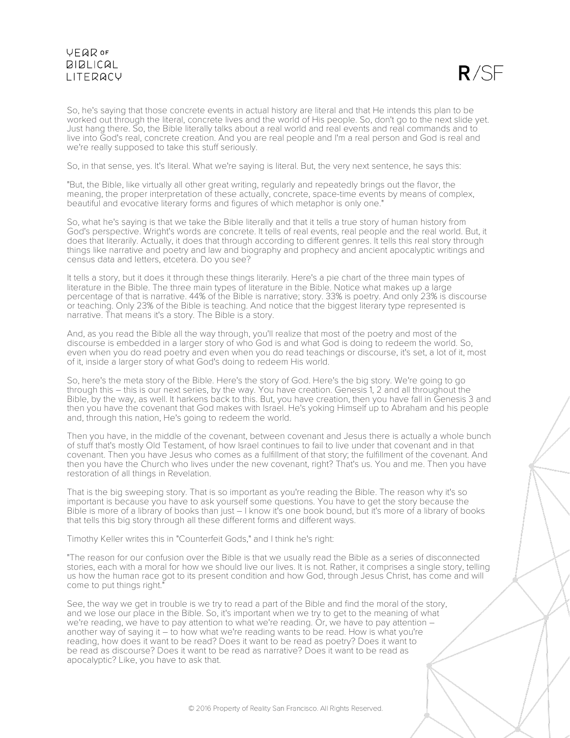

So, he's saying that those concrete events in actual history are literal and that He intends this plan to be worked out through the literal, concrete lives and the world of His people. So, don't go to the next slide yet. Just hang there. So, the Bible literally talks about a real world and real events and real commands and to live into God's real, concrete creation. And you are real people and I'm a real person and God is real and we're really supposed to take this stuff seriously.

So, in that sense, yes. It's literal. What we're saying is literal. But, the very next sentence, he says this:

"But, the Bible, like virtually all other great writing, regularly and repeatedly brings out the flavor, the meaning, the proper interpretation of these actually, concrete, space-time events by means of complex, beautiful and evocative literary forms and figures of which metaphor is only one."

So, what he's saying is that we take the Bible literally and that it tells a true story of human history from God's perspective. Wright's words are concrete. It tells of real events, real people and the real world. But, it does that literarily. Actually, it does that through according to different genres. It tells this real story through things like narrative and poetry and law and biography and prophecy and ancient apocalyptic writings and census data and letters, etcetera. Do you see?

It tells a story, but it does it through these things literarily. Here's a pie chart of the three main types of literature in the Bible. The three main types of literature in the Bible. Notice what makes up a large percentage of that is narrative. 44% of the Bible is narrative; story. 33% is poetry. And only 23% is discourse or teaching. Only 23% of the Bible is teaching. And notice that the biggest literary type represented is narrative. That means it's a story. The Bible is a story.

And, as you read the Bible all the way through, you'll realize that most of the poetry and most of the discourse is embedded in a larger story of who God is and what God is doing to redeem the world. So, even when you do read poetry and even when you do read teachings or discourse, it's set, a lot of it, most of it, inside a larger story of what God's doing to redeem His world.

So, here's the meta story of the Bible. Here's the story of God. Here's the big story. We're going to go through this – this is our next series, by the way. You have creation. Genesis 1, 2 and all throughout the Bible, by the way, as well. It harkens back to this. But, you have creation, then you have fall in Genesis 3 and then you have the covenant that God makes with Israel. He's yoking Himself up to Abraham and his people and, through this nation, He's going to redeem the world.

Then you have, in the middle of the covenant, between covenant and Jesus there is actually a whole bunch of stuff that's mostly Old Testament, of how Israel continues to fail to live under that covenant and in that covenant. Then you have Jesus who comes as a fulfillment of that story; the fulfillment of the covenant. And then you have the Church who lives under the new covenant, right? That's us. You and me. Then you have restoration of all things in Revelation.

That is the big sweeping story. That is so important as you're reading the Bible. The reason why it's so important is because you have to ask yourself some questions. You have to get the story because the Bible is more of a library of books than just – I know it's one book bound, but it's more of a library of books that tells this big story through all these different forms and different ways.

Timothy Keller writes this in "Counterfeit Gods," and I think he's right:

"The reason for our confusion over the Bible is that we usually read the Bible as a series of disconnected stories, each with a moral for how we should live our lives. It is not. Rather, it comprises a single story, telling us how the human race got to its present condition and how God, through Jesus Christ, has come and will come to put things right."

See, the way we get in trouble is we try to read a part of the Bible and find the moral of the story, and we lose our place in the Bible. So, it's important when we try to get to the meaning of what we're reading, we have to pay attention to what we're reading. Or, we have to pay attention – another way of saying it – to how what we're reading wants to be read. How is what you're reading, how does it want to be read? Does it want to be read as poetry? Does it want to be read as discourse? Does it want to be read as narrative? Does it want to be read as apocalyptic? Like, you have to ask that.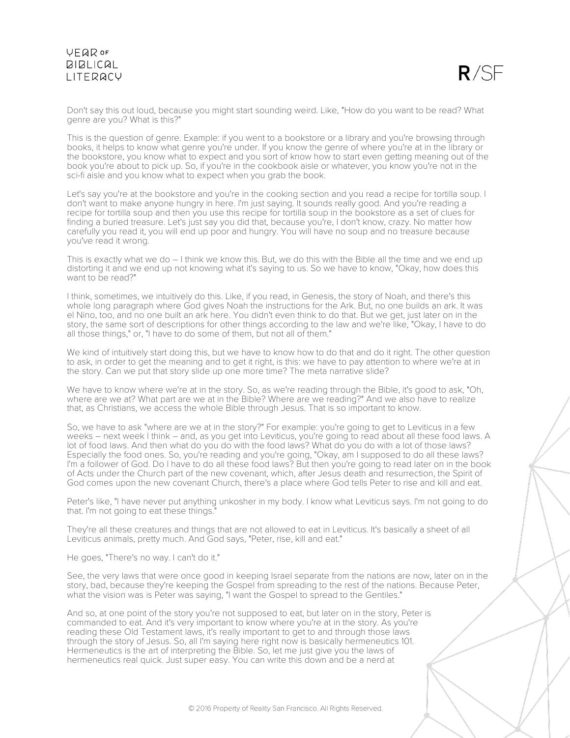

Don't say this out loud, because you might start sounding weird. Like, "How do you want to be read? What genre are you? What is this?"

This is the question of genre. Example: if you went to a bookstore or a library and you're browsing through books, it helps to know what genre you're under. If you know the genre of where you're at in the library or the bookstore, you know what to expect and you sort of know how to start even getting meaning out of the book you're about to pick up. So, if you're in the cookbook aisle or whatever, you know you're not in the sci-fi aisle and you know what to expect when you grab the book.

Let's say you're at the bookstore and you're in the cooking section and you read a recipe for tortilla soup. I don't want to make anyone hungry in here. I'm just saying. It sounds really good. And you're reading a recipe for tortilla soup and then you use this recipe for tortilla soup in the bookstore as a set of clues for finding a buried treasure. Let's just say you did that, because you're, I don't know, crazy. No matter how carefully you read it, you will end up poor and hungry. You will have no soup and no treasure because you've read it wrong.

This is exactly what we do – I think we know this. But, we do this with the Bible all the time and we end up distorting it and we end up not knowing what it's saying to us. So we have to know, "Okay, how does this want to be read?"

I think, sometimes, we intuitively do this. Like, if you read, in Genesis, the story of Noah, and there's this whole long paragraph where God gives Noah the instructions for the Ark. But, no one builds an ark. It was el Nino, too, and no one built an ark here. You didn't even think to do that. But we get, just later on in the story, the same sort of descriptions for other things according to the law and we're like, "Okay, I have to do all those things," or, "I have to do some of them, but not all of them."

We kind of intuitively start doing this, but we have to know how to do that and do it right. The other question to ask, in order to get the meaning and to get it right, is this: we have to pay attention to where we're at in the story. Can we put that story slide up one more time? The meta narrative slide?

We have to know where we're at in the story. So, as we're reading through the Bible, it's good to ask, "Oh, where are we at? What part are we at in the Bible? Where are we reading?" And we also have to realize that, as Christians, we access the whole Bible through Jesus. That is so important to know.

So, we have to ask "where are we at in the story?" For example: you're going to get to Leviticus in a few weeks – next week I think – and, as you get into Leviticus, you're going to read about all these food laws. A lot of food laws. And then what do you do with the food laws? What do you do with a lot of those laws? Especially the food ones. So, you're reading and you're going, "Okay, am I supposed to do all these laws? I'm a follower of God. Do I have to do all these food laws? But then you're going to read later on in the book of Acts under the Church part of the new covenant, which, after Jesus death and resurrection, the Spirit of God comes upon the new covenant Church, there's a place where God tells Peter to rise and kill and eat.

Peter's like, "I have never put anything unkosher in my body. I know what Leviticus says. I'm not going to do that. I'm not going to eat these things."

They're all these creatures and things that are not allowed to eat in Leviticus. It's basically a sheet of all Leviticus animals, pretty much. And God says, "Peter, rise, kill and eat."

He goes, "There's no way. I can't do it."

See, the very laws that were once good in keeping Israel separate from the nations are now, later on in the story, bad, because they're keeping the Gospel from spreading to the rest of the nations. Because Peter, what the vision was is Peter was saying, "I want the Gospel to spread to the Gentiles."

And so, at one point of the story you're not supposed to eat, but later on in the story, Peter is commanded to eat. And it's very important to know where you're at in the story. As you're reading these Old Testament laws, it's really important to get to and through those laws through the story of Jesus. So, all I'm saying here right now is basically hermeneutics 101. Hermeneutics is the art of interpreting the Bible. So, let me just give you the laws of hermeneutics real quick. Just super easy. You can write this down and be a nerd at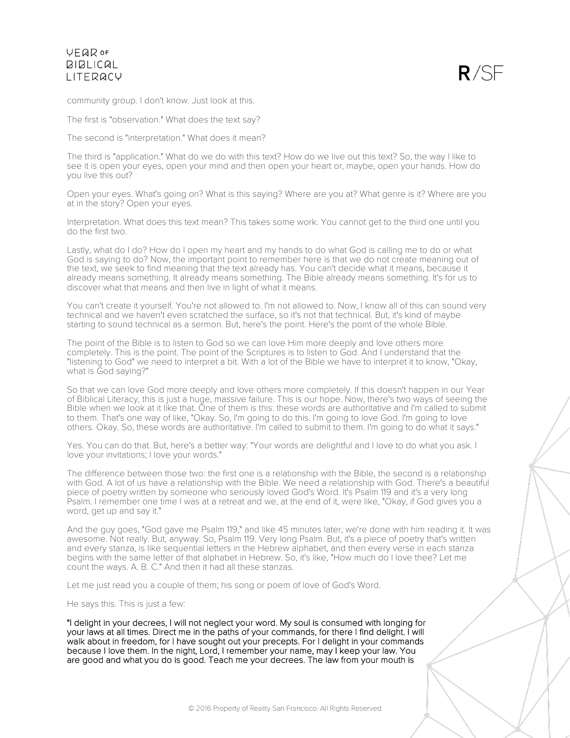

community group. I don't know. Just look at this.

The first is "observation." What does the text say?

The second is "interpretation." What does it mean?

The third is "application." What do we do with this text? How do we live out this text? So, the way I like to see it is open your eyes, open your mind and then open your heart or, maybe, open your hands. How do you live this out?

Open your eyes. What's going on? What is this saying? Where are you at? What genre is it? Where are you at in the story? Open your eyes.

Interpretation. What does this text mean? This takes some work. You cannot get to the third one until you do the first two.

Lastly, what do I do? How do I open my heart and my hands to do what God is calling me to do or what God is saying to do? Now, the important point to remember here is that we do not create meaning out of the text, we seek to find meaning that the text already has. You can't decide what it means, because it already means something. It already means something. The Bible already means something. It's for us to discover what that means and then live in light of what it means.

You can't create it yourself. You're not allowed to. I'm not allowed to. Now, I know all of this can sound very technical and we haven't even scratched the surface, so it's not that technical. But, it's kind of maybe starting to sound technical as a sermon. But, here's the point. Here's the point of the whole Bible.

The point of the Bible is to listen to God so we can love Him more deeply and love others more completely. This is the point. The point of the Scriptures is to listen to God. And I understand that the "listening to God" we need to interpret a bit. With a lot of the Bible we have to interpret it to know, "Okay, what is God saying?"

So that we can love God more deeply and love others more completely. If this doesn't happen in our Year of Biblical Literacy, this is just a huge, massive failure. This is our hope. Now, there's two ways of seeing the Bible when we look at it like that. One of them is this: these words are authoritative and I'm called to submit to them. That's one way of like, "Okay. So, I'm going to do this. I'm going to love God. I'm going to love others. Okay. So, these words are authoritative. I'm called to submit to them. I'm going to do what it says."

Yes. You can do that. But, here's a better way: "Your words are delightful and I love to do what you ask. I love your invitations; I love your words."

The difference between those two: the first one is a relationship with the Bible, the second is a relationship with God. A lot of us have a relationship with the Bible. We need a relationship with God. There's a beautiful piece of poetry written by someone who seriously loved God's Word. It's Psalm 119 and it's a very long Psalm. I remember one time I was at a retreat and we, at the end of it, were like, "Okay, if God gives you a word, get up and say it."

And the guy goes, "God gave me Psalm 119," and like 45 minutes later, we're done with him reading it. It was awesome. Not really. But, anyway. So, Psalm 119. Very long Psalm. But, it's a piece of poetry that's written and every stanza, is like sequential letters in the Hebrew alphabet, and then every verse in each stanza begins with the same letter of that alphabet in Hebrew. So, it's like, "How much do I love thee? Let me count the ways. A. B. C." And then it had all these stanzas.

Let me just read you a couple of them; his song or poem of love of God's Word.

He says this. This is just a few:

"I delight in your decrees, I will not neglect your word. My soul is consumed with longing for your laws at all times. Direct me in the paths of your commands, for there I find delight. I will walk about in freedom, for I have sought out your precepts. For I delight in your commands because I love them. In the night, Lord, I remember your name, may I keep your law. You are good and what you do is good. Teach me your decrees. The law from your mouth is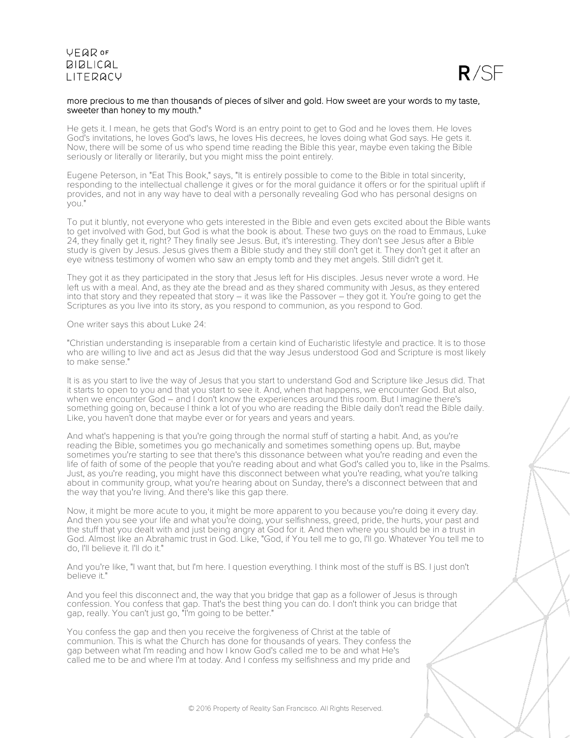

### more precious to me than thousands of pieces of silver and gold. How sweet are your words to my taste, sweeter than honey to my mouth."

He gets it. I mean, he gets that God's Word is an entry point to get to God and he loves them. He loves God's invitations, he loves God's laws, he loves His decrees, he loves doing what God says. He gets it. Now, there will be some of us who spend time reading the Bible this year, maybe even taking the Bible seriously or literally or literarily, but you might miss the point entirely.

Eugene Peterson, in "Eat This Book," says, "It is entirely possible to come to the Bible in total sincerity, responding to the intellectual challenge it gives or for the moral guidance it offers or for the spiritual uplift if provides, and not in any way have to deal with a personally revealing God who has personal designs on you."

To put it bluntly, not everyone who gets interested in the Bible and even gets excited about the Bible wants to get involved with God, but God is what the book is about. These two guys on the road to Emmaus, Luke 24, they finally get it, right? They finally see Jesus. But, it's interesting. They don't see Jesus after a Bible study is given by Jesus. Jesus gives them a Bible study and they still don't get it. They don't get it after an eye witness testimony of women who saw an empty tomb and they met angels. Still didn't get it.

They got it as they participated in the story that Jesus left for His disciples. Jesus never wrote a word. He left us with a meal. And, as they ate the bread and as they shared community with Jesus, as they entered into that story and they repeated that story – it was like the Passover – they got it. You're going to get the Scriptures as you live into its story, as you respond to communion, as you respond to God.

One writer says this about Luke 24:

"Christian understanding is inseparable from a certain kind of Eucharistic lifestyle and practice. It is to those who are willing to live and act as Jesus did that the way Jesus understood God and Scripture is most likely to make sense."

It is as you start to live the way of Jesus that you start to understand God and Scripture like Jesus did. That it starts to open to you and that you start to see it. And, when that happens, we encounter God. But also, when we encounter God – and I don't know the experiences around this room. But I imagine there's something going on, because I think a lot of you who are reading the Bible daily don't read the Bible daily. Like, you haven't done that maybe ever or for years and years and years.

And what's happening is that you're going through the normal stuff of starting a habit. And, as you're reading the Bible, sometimes you go mechanically and sometimes something opens up. But, maybe sometimes you're starting to see that there's this dissonance between what you're reading and even the life of faith of some of the people that you're reading about and what God's called you to, like in the Psalms. Just, as you're reading, you might have this disconnect between what you're reading, what you're talking about in community group, what you're hearing about on Sunday, there's a disconnect between that and the way that you're living. And there's like this gap there.

Now, it might be more acute to you, it might be more apparent to you because you're doing it every day. And then you see your life and what you're doing, your selfishness, greed, pride, the hurts, your past and the stuff that you dealt with and just being angry at God for it. And then where you should be in a trust in God. Almost like an Abrahamic trust in God. Like, "God, if You tell me to go, I'll go. Whatever You tell me to do, I'll believe it. I'll do it."

And you're like, "I want that, but I'm here. I question everything. I think most of the stuff is BS. I just don't believe it."

And you feel this disconnect and, the way that you bridge that gap as a follower of Jesus is through confession. You confess that gap. That's the best thing you can do. I don't think you can bridge that gap, really. You can't just go, "I'm going to be better."

You confess the gap and then you receive the forgiveness of Christ at the table of communion. This is what the Church has done for thousands of years. They confess the gap between what I'm reading and how I know God's called me to be and what He's called me to be and where I'm at today. And I confess my selfishness and my pride and